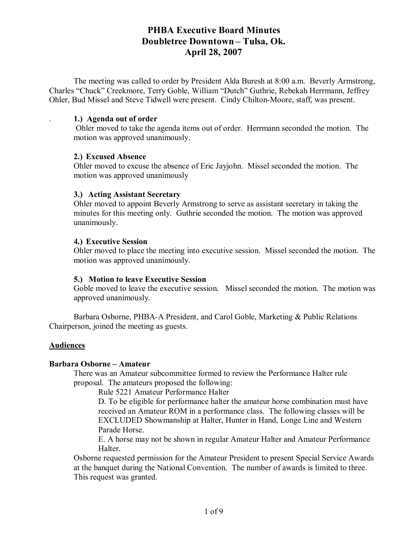The meeting was called to order by President Alda Buresh at 8:00 a.m. Beverly Armstrong, Charles "Chuck" Creekmore, Terry Goble, William "Dutch" Guthrie, Rebekah Herrmann, Jeffrey Ohler, Bud Missel and Steve Tidwell were present. Cindy Chilton-Moore, staff, was present.

#### . **1.) Agenda out of order**

 Ohler moved to take the agenda items out of order. Herrmann seconded the motion. The motion was approved unanimously.

#### **2.) Excused Absence**

Ohler moved to excuse the absence of Eric Jayjohn. Missel seconded the motion. The motion was approved unanimously

#### **3.) Acting Assistant Secretary**

Ohler moved to appoint Beverly Armstrong to serve as assistant secretary in taking the minutes for this meeting only. Guthrie seconded the motion. The motion was approved unanimously.

#### **4.) Executive Session**

Ohler moved to place the meeting into executive session. Missel seconded the motion. The motion was approved unanimously.

#### **5.) Motion to leave Executive Session**

Goble moved to leave the executive session. Missel seconded the motion. The motion was approved unanimously.

Barbara Osborne, PHBA-A President, and Carol Goble, Marketing & Public Relations Chairperson, joined the meeting as guests.

#### **Audiences**

#### **Barbara Osborne – Amateur**

There was an Amateur subcommittee formed to review the Performance Halter rule proposal. The amateurs proposed the following:

Rule 5221 Amateur Performance Halter

D. To be eligible for performance halter the amateur horse combination must have received an Amateur ROM in a performance class. The following classes will be EXCLUDED Showmanship at Halter, Hunter in Hand, Longe Line and Western Parade Horse.

E. A horse may not be shown in regular Amateur Halter and Amateur Performance **Halter** 

Osborne requested permission for the Amateur President to present Special Service Awards at the banquet during the National Convention. The number of awards is limited to three. This request was granted.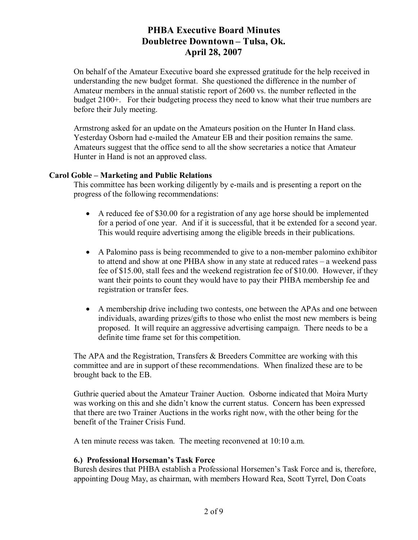On behalf of the Amateur Executive board she expressed gratitude for the help received in understanding the new budget format. She questioned the difference in the number of Amateur members in the annual statistic report of 2600 vs. the number reflected in the budget 2100+. For their budgeting process they need to know what their true numbers are before their July meeting.

Armstrong asked for an update on the Amateurs position on the Hunter In Hand class. Yesterday Osborn had e-mailed the Amateur EB and their position remains the same. Amateurs suggest that the office send to all the show secretaries a notice that Amateur Hunter in Hand is not an approved class.

#### **Carol Goble – Marketing and Public Relations**

This committee has been working diligently by e-mails and is presenting a report on the progress of the following recommendations:

- A reduced fee of \$30.00 for a registration of any age horse should be implemented for a period of one year. And if it is successful, that it be extended for a second year. This would require advertising among the eligible breeds in their publications.
- A Palomino pass is being recommended to give to a non-member palomino exhibitor to attend and show at one PHBA show in any state at reduced rates – a weekend pass fee of \$15.00, stall fees and the weekend registration fee of \$10.00. However, if they want their points to count they would have to pay their PHBA membership fee and registration or transfer fees.
- A membership drive including two contests, one between the APAs and one between individuals, awarding prizes/gifts to those who enlist the most new members is being proposed. It will require an aggressive advertising campaign. There needs to be a definite time frame set for this competition.

The APA and the Registration, Transfers & Breeders Committee are working with this committee and are in support of these recommendations. When finalized these are to be brought back to the EB.

Guthrie queried about the Amateur Trainer Auction. Osborne indicated that Moira Murty was working on this and she didn't know the current status. Concern has been expressed that there are two Trainer Auctions in the works right now, with the other being for the benefit of the Trainer Crisis Fund.

A ten minute recess was taken. The meeting reconvened at 10:10 a.m.

#### **6.) Professional Horseman's Task Force**

Buresh desires that PHBA establish a Professional Horsemen's Task Force and is, therefore, appointing Doug May, as chairman, with members Howard Rea, Scott Tyrrel, Don Coats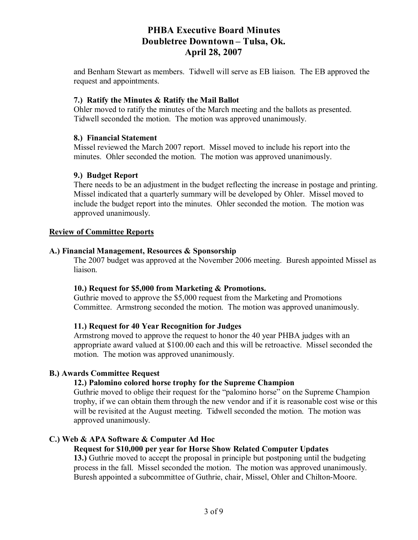and Benham Stewart as members. Tidwell will serve as EB liaison. The EB approved the request and appointments.

### **7.) Ratify the Minutes & Ratify the Mail Ballot**

Ohler moved to ratify the minutes of the March meeting and the ballots as presented. Tidwell seconded the motion. The motion was approved unanimously.

#### **8.) Financial Statement**

Missel reviewed the March 2007 report. Missel moved to include his report into the minutes. Ohler seconded the motion. The motion was approved unanimously.

#### **9.) Budget Report**

There needs to be an adjustment in the budget reflecting the increase in postage and printing. Missel indicated that a quarterly summary will be developed by Ohler. Missel moved to include the budget report into the minutes. Ohler seconded the motion. The motion was approved unanimously.

#### **Review of Committee Reports**

#### **A.) Financial Management, Resources & Sponsorship**

The 2007 budget was approved at the November 2006 meeting. Buresh appointed Missel as liaison.

#### **10.) Request for \$5,000 from Marketing & Promotions.**

Guthrie moved to approve the \$5,000 request from the Marketing and Promotions Committee. Armstrong seconded the motion. The motion was approved unanimously.

#### **11.) Request for 40 Year Recognition for Judges**

Armstrong moved to approve the request to honor the 40 year PHBA judges with an appropriate award valued at \$100.00 each and this will be retroactive. Missel seconded the motion. The motion was approved unanimously.

#### **B.) Awards Committee Request**

### **12.) Palomino colored horse trophy for the Supreme Champion**

Guthrie moved to oblige their request for the "palomino horse" on the Supreme Champion trophy, if we can obtain them through the new vendor and if it is reasonable cost wise or this will be revisited at the August meeting. Tidwell seconded the motion. The motion was approved unanimously.

#### **C.) Web & APA Software & Computer Ad Hoc**

#### **Request for \$10,000 per year for Horse Show Related Computer Updates**

**13.)** Guthrie moved to accept the proposal in principle but postponing until the budgeting process in the fall. Missel seconded the motion. The motion was approved unanimously. Buresh appointed a subcommittee of Guthrie, chair, Missel, Ohler and Chilton-Moore.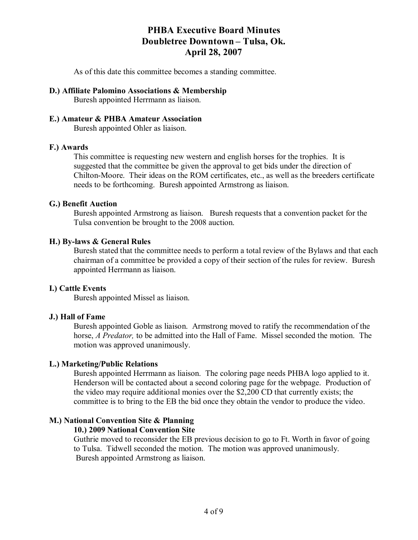As of this date this committee becomes a standing committee.

### **D.) Affiliate Palomino Associations & Membership**

Buresh appointed Herrmann as liaison.

### **E.) Amateur & PHBA Amateur Association**

Buresh appointed Ohler as liaison.

#### **F.) Awards**

This committee is requesting new western and english horses for the trophies. It is suggested that the committee be given the approval to get bids under the direction of Chilton-Moore. Their ideas on the ROM certificates, etc., as well as the breeders certificate needs to be forthcoming. Buresh appointed Armstrong as liaison.

#### **G.) Benefit Auction**

Buresh appointed Armstrong as liaison. Buresh requests that a convention packet for the Tulsa convention be brought to the 2008 auction.

#### **H.) By-laws & General Rules**

Buresh stated that the committee needs to perform a total review of the Bylaws and that each chairman of a committee be provided a copy of their section of the rules for review. Buresh appointed Herrmann as liaison.

#### **I.) Cattle Events**

Buresh appointed Missel as liaison.

#### **J.) Hall of Fame**

Buresh appointed Goble as liaison. Armstrong moved to ratify the recommendation of the horse, *A Predator,* to be admitted into the Hall of Fame. Missel seconded the motion. The motion was approved unanimously.

#### **L.) Marketing/Public Relations**

Buresh appointed Herrmann as liaison. The coloring page needs PHBA logo applied to it. Henderson will be contacted about a second coloring page for the webpage. Production of the video may require additional monies over the \$2,200 CD that currently exists; the committee is to bring to the EB the bid once they obtain the vendor to produce the video.

### **M.) National Convention Site & Planning**

#### **10.) 2009 National Convention Site**

Guthrie moved to reconsider the EB previous decision to go to Ft. Worth in favor of going to Tulsa. Tidwell seconded the motion. The motion was approved unanimously. Buresh appointed Armstrong as liaison.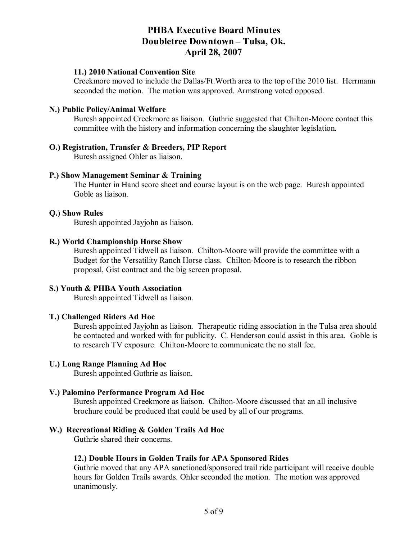#### **11.) 2010 National Convention Site**

Creekmore moved to include the Dallas/Ft.Worth area to the top of the 2010 list. Herrmann seconded the motion. The motion was approved. Armstrong voted opposed.

#### **N.) Public Policy/Animal Welfare**

Buresh appointed Creekmore as liaison. Guthrie suggested that Chilton-Moore contact this committee with the history and information concerning the slaughter legislation.

#### **O.) Registration, Transfer & Breeders, PIP Report**

Buresh assigned Ohler as liaison.

#### **P.) Show Management Seminar & Training**

The Hunter in Hand score sheet and course layout is on the web page. Buresh appointed Goble as liaison.

#### **Q.) Show Rules**

Buresh appointed Jayjohn as liaison.

#### **R.) World Championship Horse Show**

Buresh appointed Tidwell as liaison. Chilton-Moore will provide the committee with a Budget for the Versatility Ranch Horse class. Chilton-Moore is to research the ribbon proposal, Gist contract and the big screen proposal.

#### **S.) Youth & PHBA Youth Association**

Buresh appointed Tidwell as liaison.

#### **T.) Challenged Riders Ad Hoc**

Buresh appointed Jayjohn as liaison. Therapeutic riding association in the Tulsa area should be contacted and worked with for publicity. C. Henderson could assist in this area. Goble is to research TV exposure. Chilton-Moore to communicate the no stall fee.

#### **U.) Long Range Planning Ad Hoc**

Buresh appointed Guthrie as liaison.

#### **V.) Palomino Performance Program Ad Hoc**

Buresh appointed Creekmore as liaison. Chilton-Moore discussed that an all inclusive brochure could be produced that could be used by all of our programs.

#### **W.) Recreational Riding & Golden Trails Ad Hoc**

Guthrie shared their concerns.

#### **12.) Double Hours in Golden Trails for APA Sponsored Rides**

Guthrie moved that any APA sanctioned/sponsored trail ride participant will receive double hours for Golden Trails awards. Ohler seconded the motion. The motion was approved unanimously.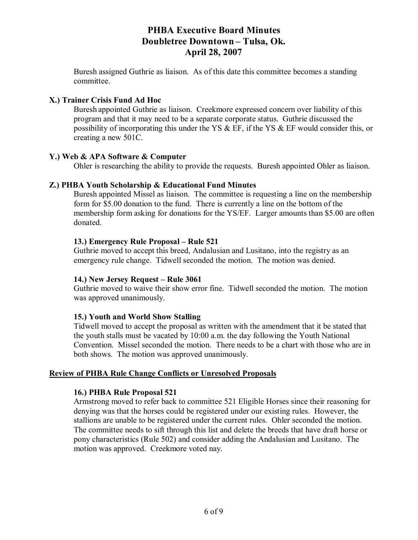Buresh assigned Guthrie as liaison. As of this date this committee becomes a standing committee.

### **X.) Trainer Crisis Fund Ad Hoc**

Buresh appointed Guthrie as liaison. Creekmore expressed concern over liability of this program and that it may need to be a separate corporate status. Guthrie discussed the possibility of incorporating this under the YS  $\&$  EF, if the YS  $\&$  EF would consider this, or creating a new 501C.

#### **Y.) Web & APA Software & Computer**

Ohler is researching the ability to provide the requests. Buresh appointed Ohler as liaison.

#### **Z.) PHBA Youth Scholarship & Educational Fund Minutes**

Buresh appointed Missel as liaison. The committee is requesting a line on the membership form for \$5.00 donation to the fund. There is currently a line on the bottom of the membership form asking for donations for the YS/EF. Larger amounts than \$5.00 are often donated.

#### **13.) Emergency Rule Proposal – Rule 521**

Guthrie moved to accept this breed, Andalusian and Lusitano, into the registry as an emergency rule change. Tidwell seconded the motion. The motion was denied.

#### **14.) New Jersey Request – Rule 3061**

Guthrie moved to waive their show error fine. Tidwell seconded the motion. The motion was approved unanimously.

#### **15.) Youth and World Show Stalling**

Tidwell moved to accept the proposal as written with the amendment that it be stated that the youth stalls must be vacated by 10:00 a.m. the day following the Youth National Convention. Missel seconded the motion. There needs to be a chart with those who are in both shows. The motion was approved unanimously.

### **Review of PHBA Rule Change Conflicts or Unresolved Proposals**

#### **16.) PHBA Rule Proposal 521**

Armstrong moved to refer back to committee 521 Eligible Horses since their reasoning for denying was that the horses could be registered under our existing rules. However, the stallions are unable to be registered under the current rules. Ohler seconded the motion. The committee needs to sift through this list and delete the breeds that have draft horse or pony characteristics (Rule 502) and consider adding the Andalusian and Lusitano. The motion was approved. Creekmore voted nay.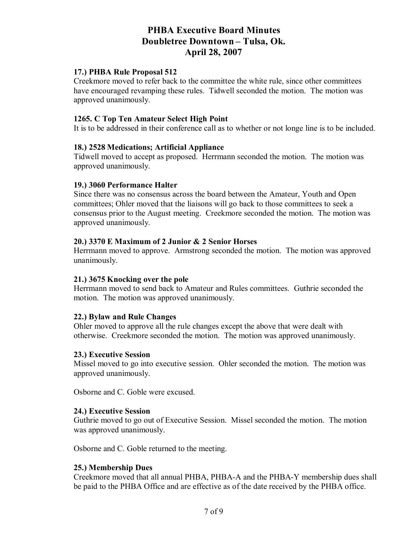#### **17.) PHBA Rule Proposal 512**

Creekmore moved to refer back to the committee the white rule, since other committees have encouraged revamping these rules. Tidwell seconded the motion. The motion was approved unanimously.

#### **1265. C Top Ten Amateur Select High Point**

It is to be addressed in their conference call as to whether or not longe line is to be included.

#### **18.) 2528 Medications; Artificial Appliance**

Tidwell moved to accept as proposed. Herrmann seconded the motion. The motion was approved unanimously.

#### **19.) 3060 Performance Halter**

Since there was no consensus across the board between the Amateur, Youth and Open committees; Ohler moved that the liaisons will go back to those committees to seek a consensus prior to the August meeting. Creekmore seconded the motion. The motion was approved unanimously.

#### **20.) 3370 E Maximum of 2 Junior & 2 Senior Horses**

Herrmann moved to approve. Armstrong seconded the motion. The motion was approved unanimously.

#### **21.) 3675 Knocking over the pole**

Herrmann moved to send back to Amateur and Rules committees. Guthrie seconded the motion. The motion was approved unanimously.

#### **22.) Bylaw and Rule Changes**

Ohler moved to approve all the rule changes except the above that were dealt with otherwise. Creekmore seconded the motion. The motion was approved unanimously.

#### **23.) Executive Session**

Missel moved to go into executive session. Ohler seconded the motion. The motion was approved unanimously.

Osborne and C. Goble were excused.

#### **24.) Executive Session**

Guthrie moved to go out of Executive Session. Missel seconded the motion. The motion was approved unanimously.

Osborne and C. Goble returned to the meeting.

#### **25.) Membership Dues**

Creekmore moved that all annual PHBA, PHBA-A and the PHBA-Y membership dues shall be paid to the PHBA Office and are effective as of the date received by the PHBA office.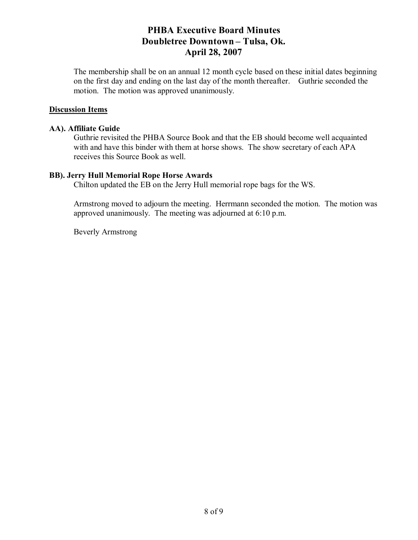The membership shall be on an annual 12 month cycle based on these initial dates beginning on the first day and ending on the last day of the month thereafter. Guthrie seconded the motion. The motion was approved unanimously.

#### **Discussion Items**

#### **AA). Affiliate Guide**

Guthrie revisited the PHBA Source Book and that the EB should become well acquainted with and have this binder with them at horse shows. The show secretary of each APA receives this Source Book as well.

#### **BB). Jerry Hull Memorial Rope Horse Awards**

Chilton updated the EB on the Jerry Hull memorial rope bags for the WS.

Armstrong moved to adjourn the meeting. Herrmann seconded the motion. The motion was approved unanimously. The meeting was adjourned at 6:10 p.m.

Beverly Armstrong